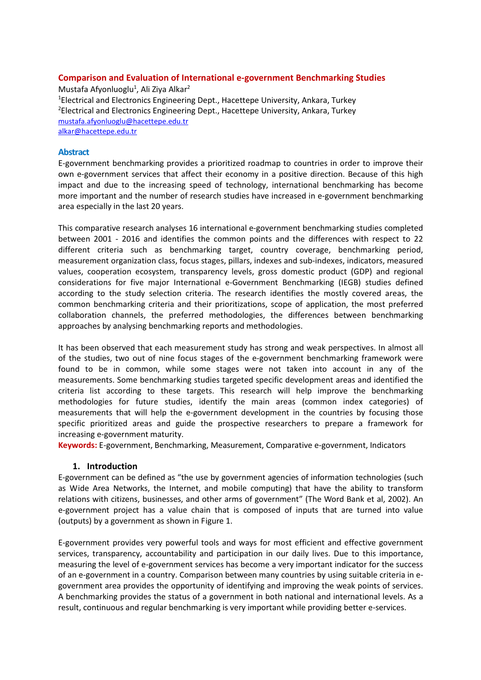# Comparison and Evaluation of International e-government Benchmarking Studies

Mustafa Afyonluoglu<sup>1</sup>, Ali Ziya Alkar<sup>2</sup> <sup>1</sup>Electrical and Electronics Engineering Dept., Hacettepe University, Ankara, Turkey <sup>2</sup>Electrical and Electronics Engineering Dept., Hacettepe University, Ankara, Turkey mustafa.afyonluoglu@hacettepe.edu.tr alkar@hacettepe.edu.tr

#### Abstract

E-government benchmarking provides a prioritized roadmap to countries in order to improve their own e-government services that affect their economy in a positive direction. Because of this high impact and due to the increasing speed of technology, international benchmarking has become more important and the number of research studies have increased in e-government benchmarking area especially in the last 20 years.

This comparative research analyses 16 international e-government benchmarking studies completed between 2001 - 2016 and identifies the common points and the differences with respect to 22 different criteria such as benchmarking target, country coverage, benchmarking period, measurement organization class, focus stages, pillars, indexes and sub-indexes, indicators, measured values, cooperation ecosystem, transparency levels, gross domestic product (GDP) and regional considerations for five major International e-Government Benchmarking (IEGB) studies defined according to the study selection criteria. The research identifies the mostly covered areas, the common benchmarking criteria and their prioritizations, scope of application, the most preferred collaboration channels, the preferred methodologies, the differences between benchmarking approaches by analysing benchmarking reports and methodologies.

It has been observed that each measurement study has strong and weak perspectives. In almost all of the studies, two out of nine focus stages of the e-government benchmarking framework were found to be in common, while some stages were not taken into account in any of the measurements. Some benchmarking studies targeted specific development areas and identified the criteria list according to these targets. This research will help improve the benchmarking methodologies for future studies, identify the main areas (common index categories) of measurements that will help the e-government development in the countries by focusing those specific prioritized areas and guide the prospective researchers to prepare a framework for increasing e-government maturity.

Keywords: E-government, Benchmarking, Measurement, Comparative e-government, Indicators

### 1. Introduction

E-government can be defined as "the use by government agencies of information technologies (such as Wide Area Networks, the Internet, and mobile computing) that have the ability to transform relations with citizens, businesses, and other arms of government" (The Word Bank et al, 2002). An e-government project has a value chain that is composed of inputs that are turned into value (outputs) by a government as shown in Figure 1.

E-government provides very powerful tools and ways for most efficient and effective government services, transparency, accountability and participation in our daily lives. Due to this importance, measuring the level of e-government services has become a very important indicator for the success of an e-government in a country. Comparison between many countries by using suitable criteria in egovernment area provides the opportunity of identifying and improving the weak points of services. A benchmarking provides the status of a government in both national and international levels. As a result, continuous and regular benchmarking is very important while providing better e-services.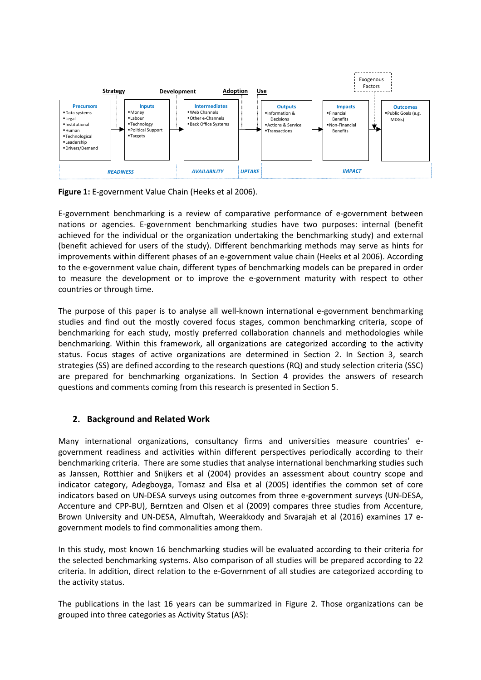

Figure 1: E-government Value Chain (Heeks et al 2006).

E-government benchmarking is a review of comparative performance of e-government between nations or agencies. E-government benchmarking studies have two purposes: internal (benefit achieved for the individual or the organization undertaking the benchmarking study) and external (benefit achieved for users of the study). Different benchmarking methods may serve as hints for improvements within different phases of an e-government value chain (Heeks et al 2006). According to the e-government value chain, different types of benchmarking models can be prepared in order to measure the development or to improve the e-government maturity with respect to other countries or through time.

The purpose of this paper is to analyse all well-known international e-government benchmarking studies and find out the mostly covered focus stages, common benchmarking criteria, scope of benchmarking for each study, mostly preferred collaboration channels and methodologies while benchmarking. Within this framework, all organizations are categorized according to the activity status. Focus stages of active organizations are determined in Section 2. In Section 3, search strategies (SS) are defined according to the research questions (RQ) and study selection criteria (SSC) are prepared for benchmarking organizations. In Section 4 provides the answers of research questions and comments coming from this research is presented in Section 5.

# 2. Background and Related Work

Many international organizations, consultancy firms and universities measure countries' egovernment readiness and activities within different perspectives periodically according to their benchmarking criteria. There are some studies that analyse international benchmarking studies such as Janssen, Rotthier and Snijkers et al (2004) provides an assessment about country scope and indicator category, Adegboyga, Tomasz and Elsa et al (2005) identifies the common set of core indicators based on UN-DESA surveys using outcomes from three e-government surveys (UN-DESA, Accenture and CPP-BU), Berntzen and Olsen et al (2009) compares three studies from Accenture, Brown University and UN-DESA, Almuftah, Weerakkody and Sıvarajah et al (2016) examines 17 egovernment models to find commonalities among them.

In this study, most known 16 benchmarking studies will be evaluated according to their criteria for the selected benchmarking systems. Also comparison of all studies will be prepared according to 22 criteria. In addition, direct relation to the e-Government of all studies are categorized according to the activity status.

The publications in the last 16 years can be summarized in Figure 2. Those organizations can be grouped into three categories as Activity Status (AS):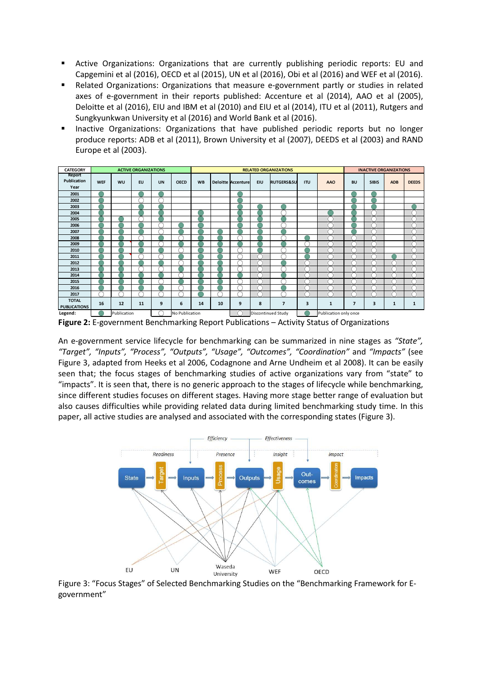- Active Organizations: Organizations that are currently publishing periodic reports: EU and Capgemini et al (2016), OECD et al (2015), UN et al (2016), Obi et al (2016) and WEF et al (2016).
- Related Organizations: Organizations that measure e-government partly or studies in related axes of e-government in their reports published: Accenture et al (2014), AAO et al (2005), Deloitte et al (2016), EIU and IBM et al (2010) and EIU et al (2014), ITU et al (2011), Rutgers and Sungkyunkwan University et al (2016) and World Bank et al (2016).
- **Inactive Organizations: Organizations that have published periodic reports but no longer** produce reports: ADB et al (2011), Brown University et al (2007), DEEDS et al (2003) and RAND Europe et al (2003).



Figure 2: E-government Benchmarking Report Publications – Activity Status of Organizations

An e-government service lifecycle for benchmarking can be summarized in nine stages as "State", "Target", "Inputs", "Process", "Outputs", "Usage", "Outcomes", "Coordination" and "Impacts" (see Figure 3, adapted from Heeks et al 2006, Codagnone and Arne Undheim et al 2008). It can be easily seen that; the focus stages of benchmarking studies of active organizations vary from "state" to "impacts". It is seen that, there is no generic approach to the stages of lifecycle while benchmarking, since different studies focuses on different stages. Having more stage better range of evaluation but also causes difficulties while providing related data during limited benchmarking study time. In this paper, all active studies are analysed and associated with the corresponding states (Figure 3).



Figure 3: "Focus Stages" of Selected Benchmarking Studies on the "Benchmarking Framework for Egovernment"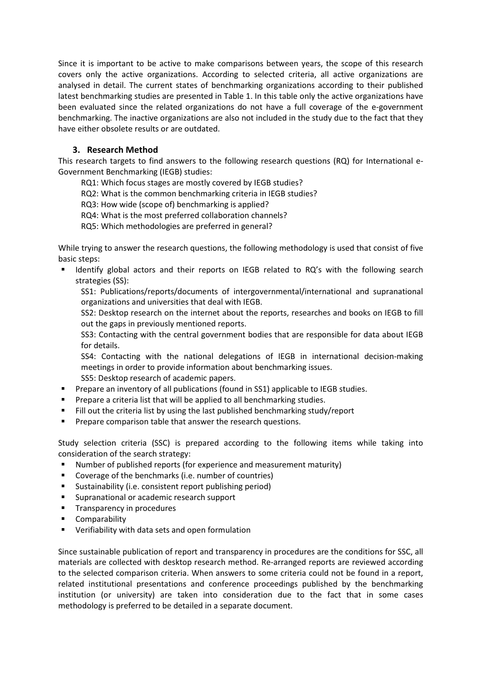Since it is important to be active to make comparisons between years, the scope of this research covers only the active organizations. According to selected criteria, all active organizations are analysed in detail. The current states of benchmarking organizations according to their published latest benchmarking studies are presented in Table 1. In this table only the active organizations have been evaluated since the related organizations do not have a full coverage of the e-government benchmarking. The inactive organizations are also not included in the study due to the fact that they have either obsolete results or are outdated.

# 3. Research Method

This research targets to find answers to the following research questions (RQ) for International e-Government Benchmarking (IEGB) studies:

RQ1: Which focus stages are mostly covered by IEGB studies?

RQ2: What is the common benchmarking criteria in IEGB studies?

RQ3: How wide (scope of) benchmarking is applied?

RQ4: What is the most preferred collaboration channels?

RQ5: Which methodologies are preferred in general?

While trying to answer the research questions, the following methodology is used that consist of five basic steps:

 Identify global actors and their reports on IEGB related to RQ's with the following search strategies (SS):

SS1: Publications/reports/documents of intergovernmental/international and supranational organizations and universities that deal with IEGB.

SS2: Desktop research on the internet about the reports, researches and books on IEGB to fill out the gaps in previously mentioned reports.

SS3: Contacting with the central government bodies that are responsible for data about IEGB for details.

SS4: Contacting with the national delegations of IEGB in international decision-making meetings in order to provide information about benchmarking issues.

SS5: Desktop research of academic papers.

- **Prepare an inventory of all publications (found in SS1) applicable to IEGB studies.**
- **Prepare a criteria list that will be applied to all benchmarking studies.**
- Fill out the criteria list by using the last published benchmarking study/report
- **Prepare comparison table that answer the research questions.**

Study selection criteria (SSC) is prepared according to the following items while taking into consideration of the search strategy:

- Number of published reports (for experience and measurement maturity)
- Coverage of the benchmarks (i.e. number of countries)
- Sustainability (i.e. consistent report publishing period)
- Supranational or academic research support
- Transparency in procedures
- **E** Comparability
- Verifiability with data sets and open formulation

Since sustainable publication of report and transparency in procedures are the conditions for SSC, all materials are collected with desktop research method. Re-arranged reports are reviewed according to the selected comparison criteria. When answers to some criteria could not be found in a report, related institutional presentations and conference proceedings published by the benchmarking institution (or university) are taken into consideration due to the fact that in some cases methodology is preferred to be detailed in a separate document.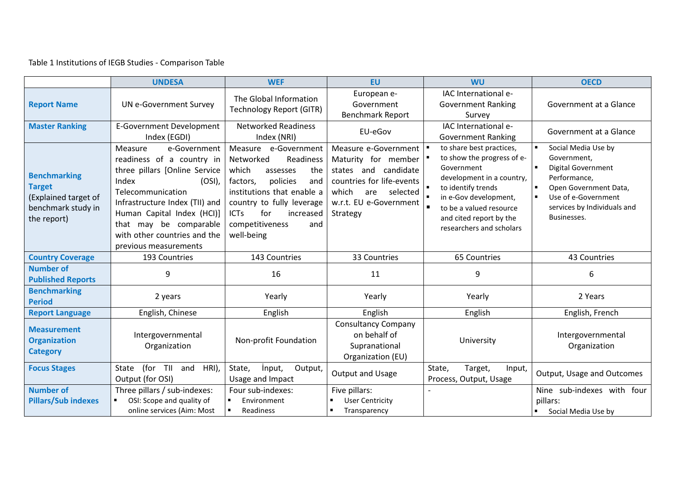# Table 1 Institutions of IEGB Studies - Comparison Table

|                                                                                                   | <b>UNDESA</b>                                                                                                                                                                                                                                                                       | <b>WEF</b>                                                                                                                                                                                                                                      | <b>EU</b>                                                                                                                                                          | <b>WU</b>                                                                                                                                                                                                                                            | <b>OECD</b>                                                                                                                                                            |  |
|---------------------------------------------------------------------------------------------------|-------------------------------------------------------------------------------------------------------------------------------------------------------------------------------------------------------------------------------------------------------------------------------------|-------------------------------------------------------------------------------------------------------------------------------------------------------------------------------------------------------------------------------------------------|--------------------------------------------------------------------------------------------------------------------------------------------------------------------|------------------------------------------------------------------------------------------------------------------------------------------------------------------------------------------------------------------------------------------------------|------------------------------------------------------------------------------------------------------------------------------------------------------------------------|--|
| <b>Report Name</b>                                                                                | <b>UN e-Government Survey</b>                                                                                                                                                                                                                                                       | The Global Information<br><b>Technology Report (GITR)</b>                                                                                                                                                                                       | European e-<br>Government<br><b>Benchmark Report</b>                                                                                                               | IAC International e-<br><b>Government Ranking</b><br>Survey                                                                                                                                                                                          | Government at a Glance                                                                                                                                                 |  |
| <b>Master Ranking</b>                                                                             | <b>E-Government Development</b><br>Index (EGDI)                                                                                                                                                                                                                                     | <b>Networked Readiness</b><br>Index (NRI)                                                                                                                                                                                                       | EU-eGov                                                                                                                                                            | IAC International e-<br><b>Government Ranking</b>                                                                                                                                                                                                    | Government at a Glance                                                                                                                                                 |  |
| <b>Benchmarking</b><br><b>Target</b><br>(Explained target of<br>benchmark study in<br>the report) | Measure<br>e-Government<br>readiness of a country in<br>three pillars [Online Service<br>Index<br>$(OSI)$ ,<br>Telecommunication<br>Infrastructure Index (TII) and<br>Human Capital Index (HCl)]<br>that may be comparable<br>with other countries and the<br>previous measurements | Measure e-Government<br>Networked<br>Readiness<br>which<br>the<br>assesses<br>policies<br>factors,<br>and<br>institutions that enable a<br>country to fully leverage<br>for<br><b>ICTs</b><br>increased<br>competitiveness<br>and<br>well-being | Measure e-Government<br>Maturity for member<br>states and candidate<br>countries for life-events<br>which<br>selected<br>are<br>w.r.t. EU e-Government<br>Strategy | to share best practices,<br>to show the progress of e-<br>Government<br>development in a country,<br>$\blacksquare$<br>to identify trends<br>in e-Gov development,<br>to be a valued resource<br>and cited report by the<br>researchers and scholars | Social Media Use by<br>Government.<br>Digital Government<br>Performance,<br>Open Government Data,<br>Use of e-Government<br>services by Individuals and<br>Businesses. |  |
| <b>Country Coverage</b>                                                                           | 193 Countries                                                                                                                                                                                                                                                                       | 143 Countries                                                                                                                                                                                                                                   | 33 Countries                                                                                                                                                       | 65 Countries                                                                                                                                                                                                                                         | 43 Countries                                                                                                                                                           |  |
| <b>Number of</b><br><b>Published Reports</b>                                                      | 9                                                                                                                                                                                                                                                                                   | 16                                                                                                                                                                                                                                              | 11                                                                                                                                                                 | 9                                                                                                                                                                                                                                                    | 6                                                                                                                                                                      |  |
| <b>Benchmarking</b><br><b>Period</b>                                                              | 2 years                                                                                                                                                                                                                                                                             | Yearly                                                                                                                                                                                                                                          | Yearly                                                                                                                                                             | Yearly                                                                                                                                                                                                                                               | 2 Years                                                                                                                                                                |  |
| <b>Report Language</b>                                                                            | English, Chinese                                                                                                                                                                                                                                                                    | English                                                                                                                                                                                                                                         | English                                                                                                                                                            | English                                                                                                                                                                                                                                              | English, French                                                                                                                                                        |  |
| <b>Measurement</b><br><b>Organization</b><br><b>Category</b>                                      | Intergovernmental<br>Organization                                                                                                                                                                                                                                                   | Non-profit Foundation                                                                                                                                                                                                                           | <b>Consultancy Company</b><br>on behalf of<br>Supranational<br>Organization (EU)                                                                                   | University                                                                                                                                                                                                                                           | Intergovernmental<br>Organization                                                                                                                                      |  |
| <b>Focus Stages</b>                                                                               | (for TII<br>and<br>HRI),<br>State<br>Output (for OSI)                                                                                                                                                                                                                               | State,<br>input,<br>Output,<br>Usage and Impact                                                                                                                                                                                                 | Output and Usage                                                                                                                                                   | State,<br>Target,<br>Input,<br>Process, Output, Usage                                                                                                                                                                                                | Output, Usage and Outcomes                                                                                                                                             |  |
| <b>Number of</b><br><b>Pillars/Sub indexes</b>                                                    | Three pillars / sub-indexes:<br>OSI: Scope and quality of<br>online services (Aim: Most                                                                                                                                                                                             | Four sub-indexes:<br>Environment<br>$\blacksquare$<br>Readiness                                                                                                                                                                                 | Five pillars:<br><b>User Centricity</b><br>Transparency                                                                                                            |                                                                                                                                                                                                                                                      | Nine sub-indexes with four<br>pillars:<br>Social Media Use by                                                                                                          |  |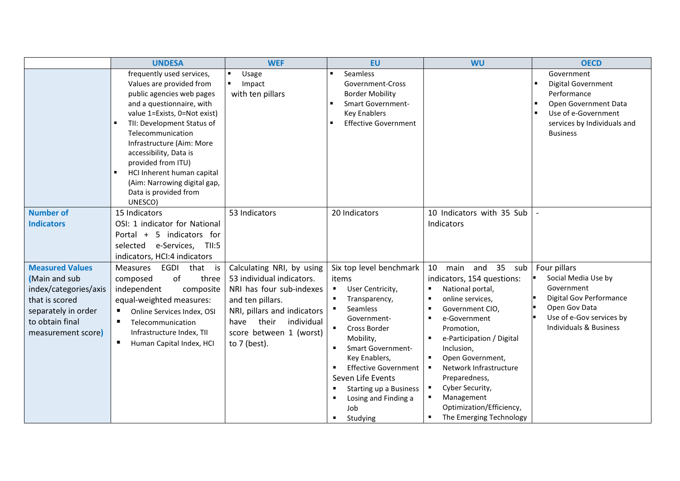|                                                                                                                                                    | <b>WEF</b><br><b>UNDESA</b>                                                                                                                                                                                                                                                                                                                                                       |                                                                                                                                                                                                                   | <b>EU</b>                                                                                                                                                                                                                                                                                                                                                     | <b>WU</b>                                                                                                                                                                                                                                                                                                                                                                                                                                                                                                                   | <b>OECD</b>                                                                                                                                                           |  |
|----------------------------------------------------------------------------------------------------------------------------------------------------|-----------------------------------------------------------------------------------------------------------------------------------------------------------------------------------------------------------------------------------------------------------------------------------------------------------------------------------------------------------------------------------|-------------------------------------------------------------------------------------------------------------------------------------------------------------------------------------------------------------------|---------------------------------------------------------------------------------------------------------------------------------------------------------------------------------------------------------------------------------------------------------------------------------------------------------------------------------------------------------------|-----------------------------------------------------------------------------------------------------------------------------------------------------------------------------------------------------------------------------------------------------------------------------------------------------------------------------------------------------------------------------------------------------------------------------------------------------------------------------------------------------------------------------|-----------------------------------------------------------------------------------------------------------------------------------------------------------------------|--|
|                                                                                                                                                    | frequently used services,<br>Values are provided from<br>public agencies web pages<br>and a questionnaire, with<br>value 1=Exists, 0=Not exist)<br>TII: Development Status of<br>Telecommunication<br>Infrastructure (Aim: More<br>accessibility, Data is<br>provided from ITU)<br>HCI Inherent human capital<br>(Aim: Narrowing digital gap,<br>Data is provided from<br>UNESCO) | Usage<br>$\blacksquare$<br>Impact<br>٠<br>with ten pillars                                                                                                                                                        | Seamless<br>$\blacksquare$<br>Government-Cross<br><b>Border Mobility</b><br><b>Smart Government-</b><br>$\blacksquare$<br><b>Key Enablers</b><br><b>Effective Government</b><br>$\blacksquare$                                                                                                                                                                |                                                                                                                                                                                                                                                                                                                                                                                                                                                                                                                             | Government<br><b>Digital Government</b><br>Performance<br>Open Government Data<br>Use of e-Government<br>services by Individuals and<br><b>Business</b>               |  |
| <b>Number of</b><br><b>Indicators</b>                                                                                                              | 15 Indicators<br>OSI: 1 indicator for National<br>Portal + 5 indicators for<br>selected e-Services,<br>TII:5<br>indicators, HCI:4 indicators                                                                                                                                                                                                                                      | 53 Indicators                                                                                                                                                                                                     | 20 Indicators                                                                                                                                                                                                                                                                                                                                                 | 10 Indicators with 35 Sub<br>Indicators                                                                                                                                                                                                                                                                                                                                                                                                                                                                                     |                                                                                                                                                                       |  |
| <b>Measured Values</b><br>(Main and sub<br>index/categories/axis<br>that is scored<br>separately in order<br>to obtain final<br>measurement score) | EGDI<br>Measures<br>that is<br>of<br>three<br>composed<br>independent<br>composite<br>equal-weighted measures:<br>п<br>Online Services Index, OSI<br>Telecommunication<br>$\blacksquare$<br>Infrastructure Index, TII<br>п<br>Human Capital Index, HCI                                                                                                                            | Calculating NRI, by using<br>53 individual indicators.<br>NRI has four sub-indexes<br>and ten pillars.<br>NRI, pillars and indicators<br>their<br>individual<br>have<br>score between 1 (worst)<br>to $7$ (best). | Six top level benchmark<br>items<br>User Centricity,<br>$\blacksquare$<br>Transparency,<br>٠<br>Seamless<br>Government-<br>Cross Border<br>$\blacksquare$<br>Mobility,<br><b>Smart Government-</b><br>Key Enablers,<br><b>Effective Government</b><br>Seven Life Events<br><b>Starting up a Business</b><br>Losing and Finding a<br>٠<br>Job<br>Studying<br>٠ | 10<br>main and<br>35<br>sub<br>indicators, 154 questions:<br>National portal,<br>٠<br>online services,<br>$\blacksquare$<br>Government CIO,<br>$\blacksquare$<br>e-Government<br>$\blacksquare$<br>Promotion,<br>e-Participation / Digital<br>$\blacksquare$<br>Inclusion,<br>Open Government,<br>$\blacksquare$<br>Network Infrastructure<br>$\blacksquare$<br>Preparedness,<br>Cyber Security,<br>$\blacksquare$<br>Management<br>$\blacksquare$<br>Optimization/Efficiency,<br>The Emerging Technology<br>$\blacksquare$ | Four pillars<br>Social Media Use by<br>Government<br><b>Digital Gov Performance</b><br>Open Gov Data<br>Use of e-Gov services by<br><b>Individuals &amp; Business</b> |  |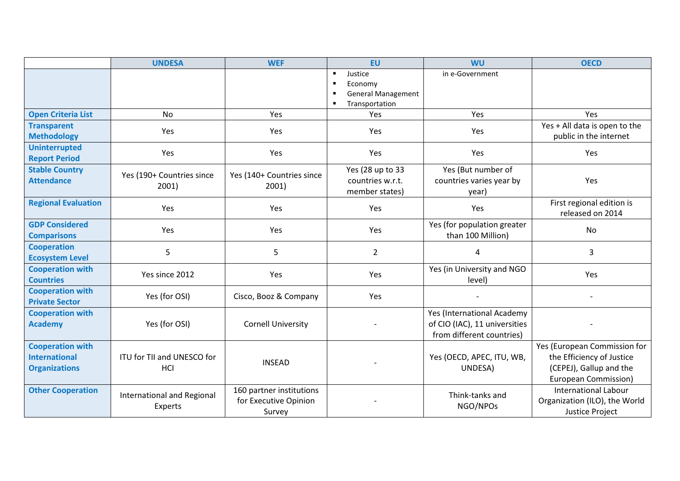|                                                                         | <b>UNDESA</b>                         | <b>WEF</b>                                                  | <b>EU</b>                                                                           | <b>WU</b>                                                                                | <b>OECD</b>                                                                                                         |  |
|-------------------------------------------------------------------------|---------------------------------------|-------------------------------------------------------------|-------------------------------------------------------------------------------------|------------------------------------------------------------------------------------------|---------------------------------------------------------------------------------------------------------------------|--|
|                                                                         |                                       |                                                             | Justice<br>$\blacksquare$<br>Economy<br><b>General Management</b><br>Transportation | in e-Government                                                                          |                                                                                                                     |  |
| <b>Open Criteria List</b>                                               | <b>No</b>                             | Yes                                                         | Yes                                                                                 | Yes                                                                                      | Yes                                                                                                                 |  |
| <b>Transparent</b><br><b>Methodology</b>                                | Yes                                   | Yes                                                         | Yes                                                                                 | Yes                                                                                      | Yes + All data is open to the<br>public in the internet                                                             |  |
| <b>Uninterrupted</b><br><b>Report Period</b>                            | Yes                                   | Yes                                                         | Yes                                                                                 | Yes                                                                                      | Yes                                                                                                                 |  |
| <b>Stable Country</b><br><b>Attendance</b>                              | Yes (190+ Countries since<br>2001)    | Yes (140+ Countries since<br>2001)                          | Yes (28 up to 33<br>countries w.r.t.<br>member states)                              | Yes (But number of<br>countries varies year by<br>year)                                  | Yes                                                                                                                 |  |
| <b>Regional Evaluation</b>                                              | Yes                                   | Yes                                                         | Yes                                                                                 | Yes                                                                                      | First regional edition is<br>released on 2014                                                                       |  |
| <b>GDP Considered</b><br><b>Comparisons</b>                             | Yes                                   | Yes                                                         | Yes                                                                                 | Yes (for population greater<br>than 100 Million)                                         | <b>No</b>                                                                                                           |  |
| <b>Cooperation</b><br><b>Ecosystem Level</b>                            | 5                                     | 5                                                           | $\overline{2}$                                                                      | 4                                                                                        | 3                                                                                                                   |  |
| <b>Cooperation with</b><br><b>Countries</b>                             | Yes since 2012                        | Yes                                                         | Yes                                                                                 | Yes (in University and NGO<br>level)                                                     | Yes                                                                                                                 |  |
| <b>Cooperation with</b><br><b>Private Sector</b>                        | Yes (for OSI)                         | Cisco, Booz & Company                                       | Yes                                                                                 |                                                                                          |                                                                                                                     |  |
| <b>Cooperation with</b><br><b>Academy</b>                               | Yes (for OSI)                         | <b>Cornell University</b>                                   |                                                                                     | Yes (International Academy<br>of CIO (IAC), 11 universities<br>from different countries) |                                                                                                                     |  |
| <b>Cooperation with</b><br><b>International</b><br><b>Organizations</b> | ITU for TII and UNESCO for<br>HCI     | <b>INSEAD</b>                                               |                                                                                     | Yes (OECD, APEC, ITU, WB,<br>UNDESA)                                                     | Yes (European Commission for<br>the Efficiency of Justice<br>(CEPEJ), Gallup and the<br><b>European Commission)</b> |  |
| <b>Other Cooperation</b>                                                | International and Regional<br>Experts | 160 partner institutions<br>for Executive Opinion<br>Survey | Think-tanks and<br>NGO/NPOs                                                         |                                                                                          | <b>International Labour</b><br>Organization (ILO), the World<br>Justice Project                                     |  |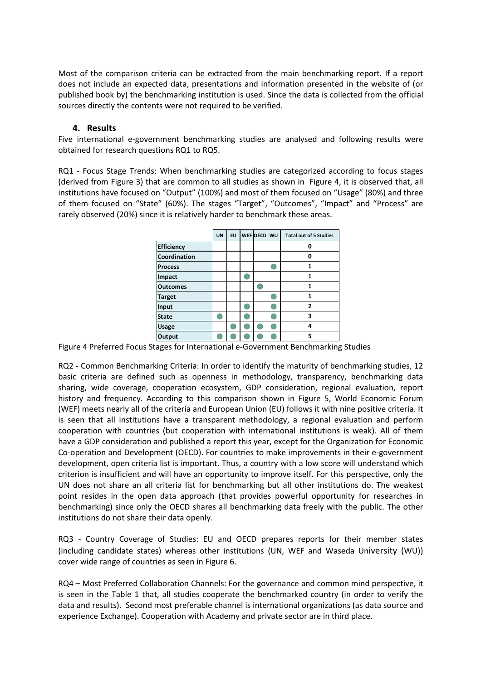Most of the comparison criteria can be extracted from the main benchmarking report. If a report does not include an expected data, presentations and information presented in the website of (or published book by) the benchmarking institution is used. Since the data is collected from the official sources directly the contents were not required to be verified.

# 4. Results

Five international e-government benchmarking studies are analysed and following results were obtained for research questions RQ1 to RQ5.

RQ1 - Focus Stage Trends: When benchmarking studies are categorized according to focus stages (derived from Figure 3) that are common to all studies as shown in Figure 4, it is observed that, all institutions have focused on "Output" (100%) and most of them focused on "Usage" (80%) and three of them focused on "State" (60%). The stages "Target", "Outcomes", "Impact" and "Process" are rarely observed (20%) since it is relatively harder to benchmark these areas.

|                   | <b>UN</b> | EU | WEF OECD WU | <b>Total out of 5 Studies</b> |
|-------------------|-----------|----|-------------|-------------------------------|
| <b>Efficiency</b> |           |    |             | 0                             |
| Coordination      |           |    |             | 0                             |
| <b>Process</b>    |           |    |             | 1                             |
| Impact            |           |    |             | 1                             |
| <b>Outcomes</b>   |           |    |             | 1                             |
| <b>Target</b>     |           |    |             | 1                             |
| Input             |           |    |             | 2                             |
| <b>State</b>      |           |    |             | 3                             |
| <b>Usage</b>      |           |    |             | 4                             |
| Output            |           |    |             | 5                             |

Figure 4 Preferred Focus Stages for International e-Government Benchmarking Studies

RQ2 - Common Benchmarking Criteria: In order to identify the maturity of benchmarking studies, 12 basic criteria are defined such as openness in methodology, transparency, benchmarking data sharing, wide coverage, cooperation ecosystem, GDP consideration, regional evaluation, report history and frequency. According to this comparison shown in Figure 5, World Economic Forum (WEF) meets nearly all of the criteria and European Union (EU) follows it with nine positive criteria. It is seen that all institutions have a transparent methodology, a regional evaluation and perform cooperation with countries (but cooperation with international institutions is weak). All of them have a GDP consideration and published a report this year, except for the Organization for Economic Co-operation and Development (OECD). For countries to make improvements in their e-government development, open criteria list is important. Thus, a country with a low score will understand which criterion is insufficient and will have an opportunity to improve itself. For this perspective, only the UN does not share an all criteria list for benchmarking but all other institutions do. The weakest point resides in the open data approach (that provides powerful opportunity for researches in benchmarking) since only the OECD shares all benchmarking data freely with the public. The other institutions do not share their data openly.

RQ3 - Country Coverage of Studies: EU and OECD prepares reports for their member states (including candidate states) whereas other institutions (UN, WEF and Waseda University (WU)) cover wide range of countries as seen in Figure 6.

RQ4 – Most Preferred Collaboration Channels: For the governance and common mind perspective, it is seen in the Table 1 that, all studies cooperate the benchmarked country (in order to verify the data and results). Second most preferable channel is international organizations (as data source and experience Exchange). Cooperation with Academy and private sector are in third place.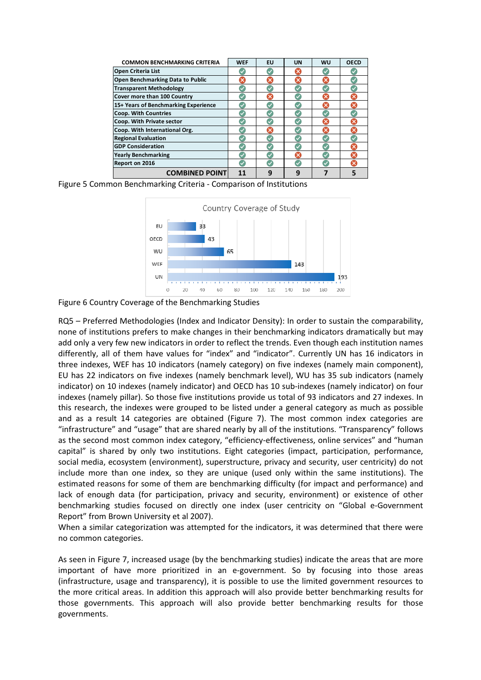| <b>COMMON BENCHMARKING CRITERIA</b>  | <b>WEF</b> | EU | <b>UN</b> | WU                        | <b>OECD</b> |
|--------------------------------------|------------|----|-----------|---------------------------|-------------|
| Open Criteria List                   |            |    | ×         |                           |             |
| Open Benchmarking Data to Public     |            | ×  | ×         |                           |             |
| <b>Transparent Methodology</b>       |            |    |           |                           |             |
| Cover more than 100 Country          |            | ×  |           | $\boldsymbol{\mathsf{x}}$ | ×           |
| 15+ Years of Benchmarking Experience |            |    |           |                           |             |
| <b>Coop. With Countries</b>          |            |    |           |                           |             |
| Coop. With Private sector            |            |    |           |                           |             |
| Coop. With International Org.        |            | ×  |           | ×                         | ×           |
| <b>Regional Evaluation</b>           |            |    |           | ✓                         |             |
| <b>GDP Consideration</b>             |            |    |           |                           | ×           |
| <b>Yearly Benchmarking</b>           |            |    | ×         |                           | ×           |
| Report on 2016                       |            |    |           |                           |             |
| <b>COMBINED POINT</b>                | 11         | g  | 9         |                           |             |

Figure 5 Common Benchmarking Criteria - Comparison of Institutions



Figure 6 Country Coverage of the Benchmarking Studies

RQ5 – Preferred Methodologies (Index and Indicator Density): In order to sustain the comparability, none of institutions prefers to make changes in their benchmarking indicators dramatically but may add only a very few new indicators in order to reflect the trends. Even though each institution names differently, all of them have values for "index" and "indicator". Currently UN has 16 indicators in three indexes, WEF has 10 indicators (namely category) on five indexes (namely main component), EU has 22 indicators on five indexes (namely benchmark level), WU has 35 sub indicators (namely indicator) on 10 indexes (namely indicator) and OECD has 10 sub-indexes (namely indicator) on four indexes (namely pillar). So those five institutions provide us total of 93 indicators and 27 indexes. In this research, the indexes were grouped to be listed under a general category as much as possible and as a result 14 categories are obtained (Figure 7). The most common index categories are "infrastructure" and "usage" that are shared nearly by all of the institutions. "Transparency" follows as the second most common index category, "efficiency-effectiveness, online services" and "human capital" is shared by only two institutions. Eight categories (impact, participation, performance, social media, ecosystem (environment), superstructure, privacy and security, user centricity) do not include more than one index, so they are unique (used only within the same institutions). The estimated reasons for some of them are benchmarking difficulty (for impact and performance) and lack of enough data (for participation, privacy and security, environment) or existence of other benchmarking studies focused on directly one index (user centricity on "Global e-Government Report" from Brown University et al 2007).

When a similar categorization was attempted for the indicators, it was determined that there were no common categories.

As seen in Figure 7, increased usage (by the benchmarking studies) indicate the areas that are more important of have more prioritized in an e-government. So by focusing into those areas (infrastructure, usage and transparency), it is possible to use the limited government resources to the more critical areas. In addition this approach will also provide better benchmarking results for those governments. This approach will also provide better benchmarking results for those governments.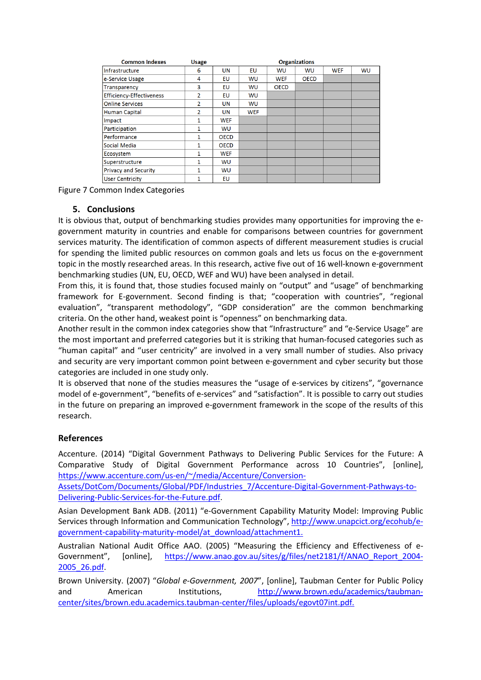| <b>Common Indexes</b>           |                | <b>Organizations</b> |            |             |             |            |           |
|---------------------------------|----------------|----------------------|------------|-------------|-------------|------------|-----------|
| Infrastructure                  | 6              | UN                   | EU         | <b>WU</b>   | <b>WU</b>   | <b>WEF</b> | <b>WU</b> |
| e-Service Usage                 | 4              | EU                   | WU         | <b>WEF</b>  | <b>OECD</b> |            |           |
| <b>Transparency</b>             | 3              | EU                   | WU         | <b>OECD</b> |             |            |           |
| <b>Efficiency-Effectiveness</b> | $\overline{2}$ | <b>EU</b>            | WU         |             |             |            |           |
| <b>Online Services</b>          | $\overline{2}$ | UN                   | WU         |             |             |            |           |
| Human Capital                   | $\overline{2}$ | UN                   | <b>WEF</b> |             |             |            |           |
| Impact                          | 1              | <b>WEF</b>           |            |             |             |            |           |
| Participation                   | 1              | WU                   |            |             |             |            |           |
| Performance                     | 1              | <b>OECD</b>          |            |             |             |            |           |
| Social Media                    | 1              | <b>OECD</b>          |            |             |             |            |           |
| Ecosystem                       | 1              | <b>WEF</b>           |            |             |             |            |           |
| Superstructure                  | $\mathbf{1}$   | <b>WU</b>            |            |             |             |            |           |
| <b>Privacy and Security</b>     | 1              | <b>WU</b>            |            |             |             |            |           |
| <b>User Centricity</b>          | 1              | <b>EU</b>            |            |             |             |            |           |

Figure 7 Common Index Categories

# 5. Conclusions

It is obvious that, output of benchmarking studies provides many opportunities for improving the egovernment maturity in countries and enable for comparisons between countries for government services maturity. The identification of common aspects of different measurement studies is crucial for spending the limited public resources on common goals and lets us focus on the e-government topic in the mostly researched areas. In this research, active five out of 16 well-known e-government benchmarking studies (UN, EU, OECD, WEF and WU) have been analysed in detail.

From this, it is found that, those studies focused mainly on "output" and "usage" of benchmarking framework for E-government. Second finding is that; "cooperation with countries", "regional evaluation", "transparent methodology", "GDP consideration" are the common benchmarking criteria. On the other hand, weakest point is "openness" on benchmarking data.

Another result in the common index categories show that "Infrastructure" and "e-Service Usage" are the most important and preferred categories but it is striking that human-focused categories such as "human capital" and "user centricity" are involved in a very small number of studies. Also privacy and security are very important common point between e-government and cyber security but those categories are included in one study only.

It is observed that none of the studies measures the "usage of e-services by citizens", "governance model of e-government", "benefits of e-services" and "satisfaction". It is possible to carry out studies in the future on preparing an improved e-government framework in the scope of the results of this research.

# References

Accenture. (2014) "Digital Government Pathways to Delivering Public Services for the Future: A Comparative Study of Digital Government Performance across 10 Countries", [online], https://www.accenture.com/us-en/~/media/Accenture/Conversion-

Assets/DotCom/Documents/Global/PDF/Industries\_7/Accenture-Digital-Government-Pathways-to-Delivering-Public-Services-for-the-Future.pdf.

Asian Development Bank ADB. (2011) "e-Government Capability Maturity Model: Improving Public Services through Information and Communication Technology", http://www.unapcict.org/ecohub/egovernment-capability-maturity-model/at\_download/attachment1.

Australian National Audit Office AAO. (2005) "Measuring the Efficiency and Effectiveness of e-Government", [online], https://www.anao.gov.au/sites/g/files/net2181/f/ANAO\_Report\_2004-2005\_26.pdf.

Brown University. (2007) "Global e-Government, 2007", [online], Taubman Center for Public Policy and American Institutions, http://www.brown.edu/academics/taubmancenter/sites/brown.edu.academics.taubman-center/files/uploads/egovt07int.pdf.